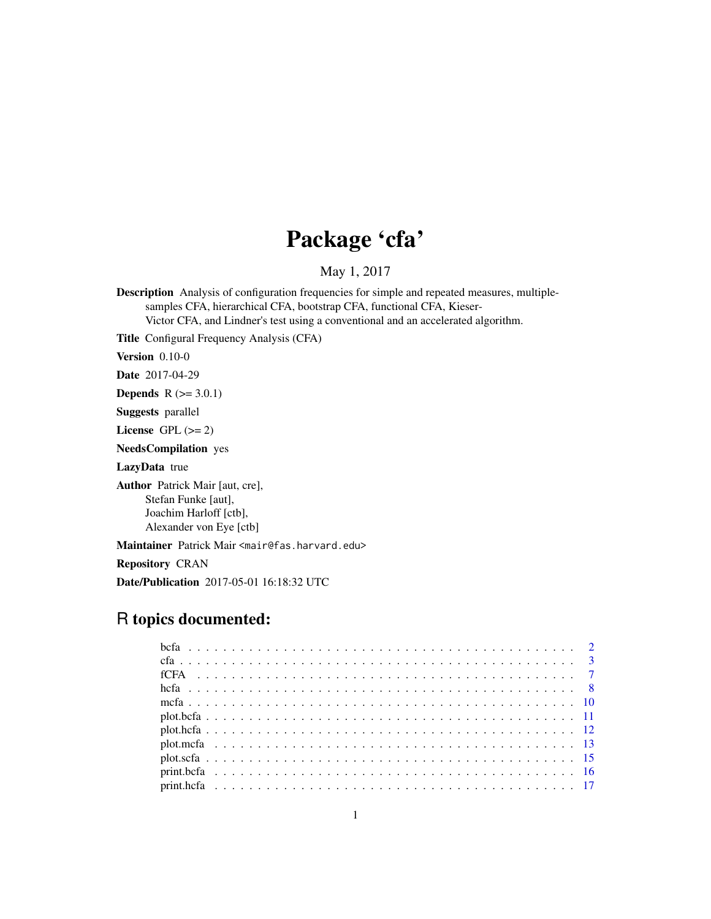# Package 'cfa'

May 1, 2017

Description Analysis of configuration frequencies for simple and repeated measures, multiplesamples CFA, hierarchical CFA, bootstrap CFA, functional CFA, Kieser-Victor CFA, and Lindner's test using a conventional and an accelerated algorithm.

Title Configural Frequency Analysis (CFA)

Version 0.10-0

Date 2017-04-29

**Depends**  $R$  ( $>= 3.0.1$ )

Suggests parallel

License GPL  $(>= 2)$ 

NeedsCompilation yes

LazyData true

Author Patrick Mair [aut, cre], Stefan Funke [aut], Joachim Harloff [ctb], Alexander von Eye [ctb]

Maintainer Patrick Mair <mair@fas.harvard.edu>

Repository CRAN

Date/Publication 2017-05-01 16:18:32 UTC

# R topics documented: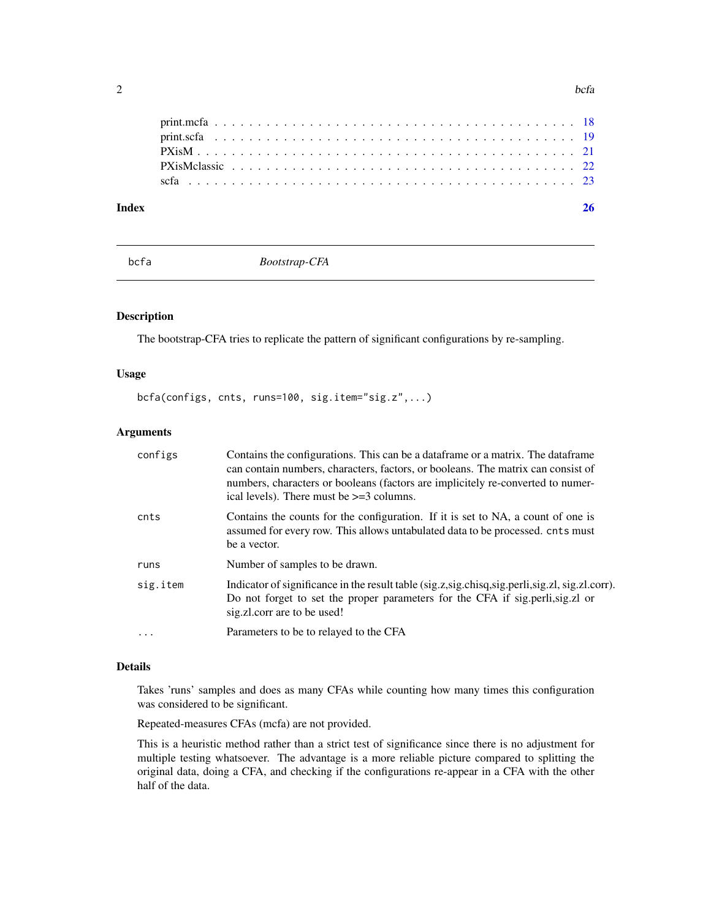<span id="page-1-0"></span>

| Index |  |  |  |  |  |  |  |  |  |  |  |  |  |  |  |  |  |  |  |
|-------|--|--|--|--|--|--|--|--|--|--|--|--|--|--|--|--|--|--|--|
|       |  |  |  |  |  |  |  |  |  |  |  |  |  |  |  |  |  |  |  |
|       |  |  |  |  |  |  |  |  |  |  |  |  |  |  |  |  |  |  |  |
|       |  |  |  |  |  |  |  |  |  |  |  |  |  |  |  |  |  |  |  |
|       |  |  |  |  |  |  |  |  |  |  |  |  |  |  |  |  |  |  |  |
|       |  |  |  |  |  |  |  |  |  |  |  |  |  |  |  |  |  |  |  |

<span id="page-1-1"></span>bcfa *Bootstrap-CFA*

# Description

The bootstrap-CFA tries to replicate the pattern of significant configurations by re-sampling.

#### Usage

```
bcfa(configs, cnts, runs=100, sig.item="sig.z",...)
```
#### Arguments

| configs  | Contains the configurations. This can be a data frame or a matrix. The data frame<br>can contain numbers, characters, factors, or booleans. The matrix can consist of<br>numbers, characters or booleans (factors are implicitely re-converted to numer-<br>ical levels). There must be $\geq$ =3 columns. |
|----------|------------------------------------------------------------------------------------------------------------------------------------------------------------------------------------------------------------------------------------------------------------------------------------------------------------|
| cnts     | Contains the counts for the configuration. If it is set to NA, a count of one is<br>assumed for every row. This allows untabulated data to be processed, cnts must<br>be a vector.                                                                                                                         |
| runs     | Number of samples to be drawn.                                                                                                                                                                                                                                                                             |
| sig.item | Indicator of significance in the result table (sig.z,sig.chisq,sig.perli,sig.zl, sig.zl.corr).<br>Do not forget to set the proper parameters for the CFA if sig.perli, sig. zl or<br>sig.zl.corr are to be used!                                                                                           |
| $\cdot$  | Parameters to be to relayed to the CFA                                                                                                                                                                                                                                                                     |

### Details

Takes 'runs' samples and does as many CFAs while counting how many times this configuration was considered to be significant.

Repeated-measures CFAs (mcfa) are not provided.

This is a heuristic method rather than a strict test of significance since there is no adjustment for multiple testing whatsoever. The advantage is a more reliable picture compared to splitting the original data, doing a CFA, and checking if the configurations re-appear in a CFA with the other half of the data.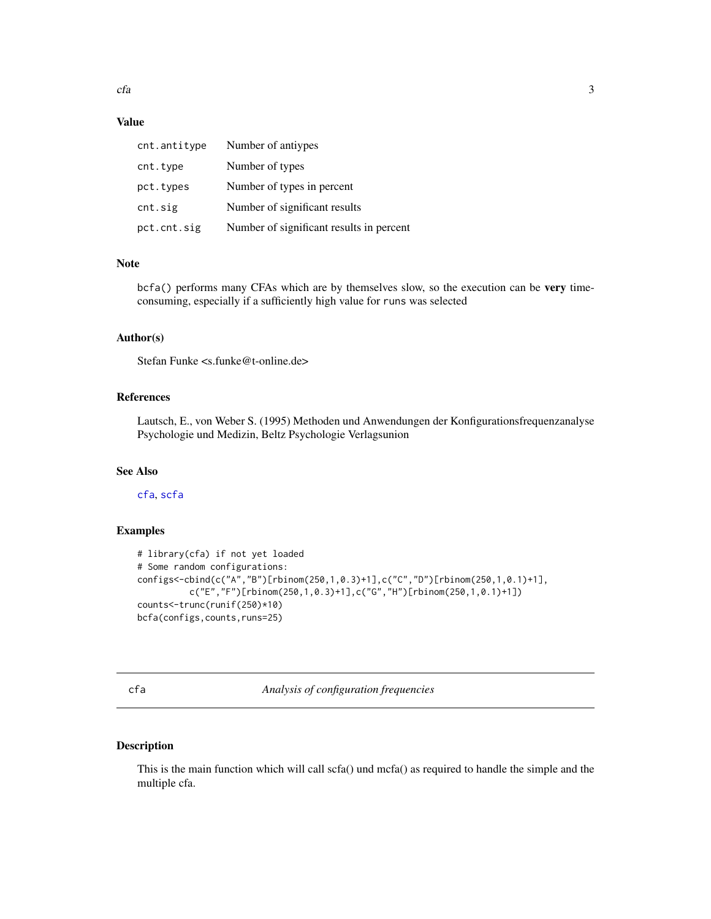<span id="page-2-0"></span> $cfa$  3

# Value

| cnt.antitype | Number of antiypes                       |
|--------------|------------------------------------------|
| cnt.type     | Number of types                          |
| pct.types    | Number of types in percent               |
| cnt.sig      | Number of significant results            |
| pct.cnt.sig  | Number of significant results in percent |

#### Note

bcfa() performs many CFAs which are by themselves slow, so the execution can be very timeconsuming, especially if a sufficiently high value for runs was selected

# Author(s)

Stefan Funke <s.funke@t-online.de>

# References

Lautsch, E., von Weber S. (1995) Methoden und Anwendungen der Konfigurationsfrequenzanalyse Psychologie und Medizin, Beltz Psychologie Verlagsunion

# See Also

[cfa](#page-2-1), [scfa](#page-22-1)

# Examples

```
# library(cfa) if not yet loaded
# Some random configurations:
configs<-cbind(c("A","B")[rbinom(250,1,0.3)+1],c("C","D")[rbinom(250,1,0.1)+1],
          c("E","F")[rbinom(250,1,0.3)+1],c("G","H")[rbinom(250,1,0.1)+1])
counts<-trunc(runif(250)*10)
bcfa(configs,counts,runs=25)
```
<span id="page-2-1"></span>cfa *Analysis of configuration frequencies*

# Description

This is the main function which will call scfa() und mcfa() as required to handle the simple and the multiple cfa.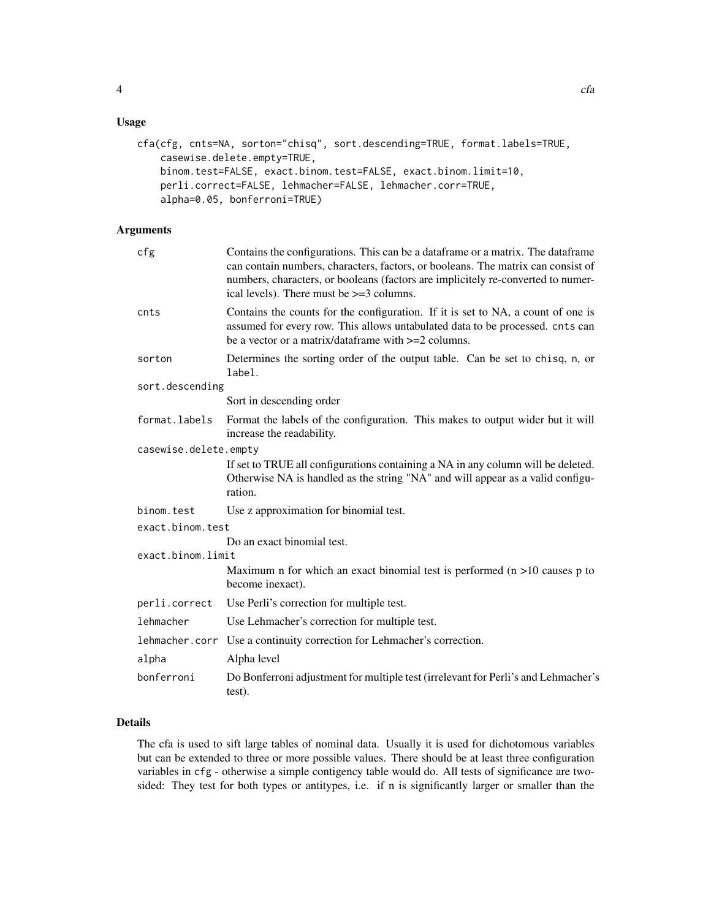# Usage

```
cfa(cfg, cnts=NA, sorton="chisq", sort.descending=TRUE, format.labels=TRUE,
    casewise.delete.empty=TRUE,
    binom.test=FALSE, exact.binom.test=FALSE, exact.binom.limit=10,
    perli.correct=FALSE, lehmacher=FALSE, lehmacher.corr=TRUE,
    alpha=0.05, bonferroni=TRUE)
```
# Arguments

| cfg                   | Contains the configurations. This can be a data frame or a matrix. The data frame<br>can contain numbers, characters, factors, or booleans. The matrix can consist of<br>numbers, characters, or booleans (factors are implicitely re-converted to numer-<br>ical levels). There must be $>=$ 3 columns. |
|-----------------------|----------------------------------------------------------------------------------------------------------------------------------------------------------------------------------------------------------------------------------------------------------------------------------------------------------|
| cnts                  | Contains the counts for the configuration. If it is set to NA, a count of one is<br>assumed for every row. This allows untabulated data to be processed. cnts can<br>be a vector or a matrix/dataframe with $>=2$ columns.                                                                               |
| sorton                | Determines the sorting order of the output table. Can be set to chisq, n, or<br>label.                                                                                                                                                                                                                   |
| sort.descending       |                                                                                                                                                                                                                                                                                                          |
|                       | Sort in descending order                                                                                                                                                                                                                                                                                 |
| format.labels         | Format the labels of the configuration. This makes to output wider but it will<br>increase the readability.                                                                                                                                                                                              |
| casewise.delete.empty |                                                                                                                                                                                                                                                                                                          |
|                       | If set to TRUE all configurations containing a NA in any column will be deleted.<br>Otherwise NA is handled as the string "NA" and will appear as a valid configu-<br>ration.                                                                                                                            |
| binom.test            | Use z approximation for binomial test.                                                                                                                                                                                                                                                                   |
| exact.binom.test      |                                                                                                                                                                                                                                                                                                          |
|                       | Do an exact binomial test.                                                                                                                                                                                                                                                                               |
| exact.binom.limit     |                                                                                                                                                                                                                                                                                                          |
|                       | Maximum n for which an exact binomial test is performed $(n > 10)$ causes p to<br>become inexact).                                                                                                                                                                                                       |
| perli.correct         | Use Perli's correction for multiple test.                                                                                                                                                                                                                                                                |
| lehmacher             | Use Lehmacher's correction for multiple test.                                                                                                                                                                                                                                                            |
| lehmacher.corr        | Use a continuity correction for Lehmacher's correction.                                                                                                                                                                                                                                                  |
| alpha                 | Alpha level                                                                                                                                                                                                                                                                                              |
| bonferroni            | Do Bonferroni adjustment for multiple test (irrelevant for Perli's and Lehmacher's<br>test).                                                                                                                                                                                                             |

# Details

The cfa is used to sift large tables of nominal data. Usually it is used for dichotomous variables but can be extended to three or more possible values. There should be at least three configuration variables in cfg - otherwise a simple contigency table would do. All tests of significance are twosided: They test for both types or antitypes, i.e. if n is significantly larger or smaller than the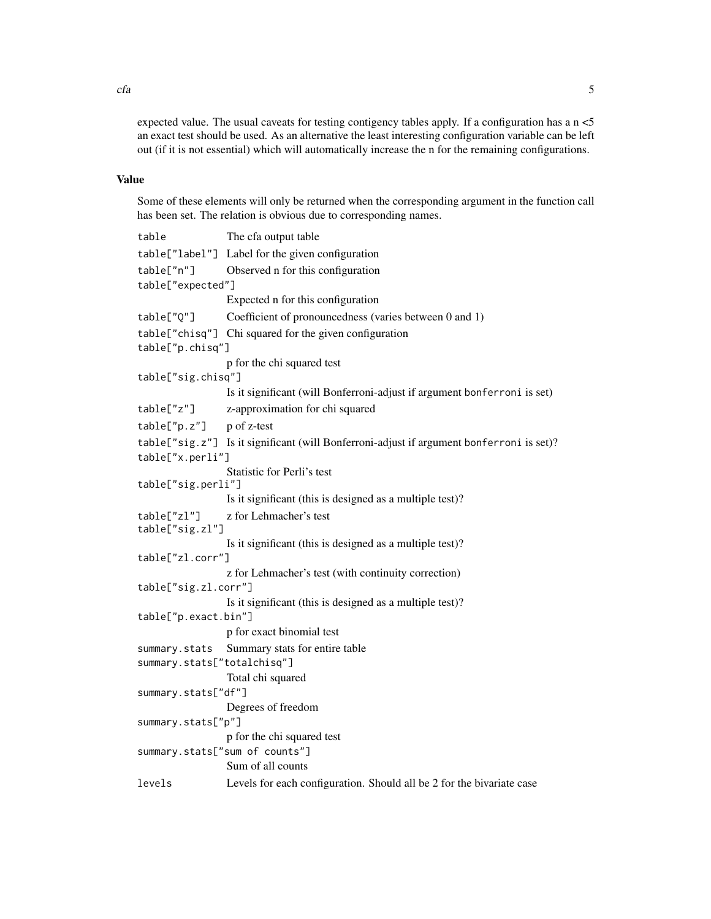expected value. The usual caveats for testing contigency tables apply. If a configuration has a  $n < 5$ an exact test should be used. As an alternative the least interesting configuration variable can be left out (if it is not essential) which will automatically increase the n for the remaining configurations.

# Value

Some of these elements will only be returned when the corresponding argument in the function call has been set. The relation is obvious due to corresponding names.

| table                          | The cfa output table                                                                     |
|--------------------------------|------------------------------------------------------------------------------------------|
|                                | table["label"] Label for the given configuration                                         |
| table["n"]                     | Observed n for this configuration                                                        |
| table["expected"]              |                                                                                          |
|                                | Expected n for this configuration                                                        |
| table["Q"]                     | Coefficient of pronouncedness (varies between 0 and 1)                                   |
|                                | table["chisq"] Chi squared for the given configuration                                   |
| table["p.chisq"]               |                                                                                          |
|                                | p for the chi squared test                                                               |
| table["sig.chisq"]             |                                                                                          |
|                                | Is it significant (will Bonferroni-adjust if argument bonferroni is set)                 |
| table["z"]                     | z-approximation for chi squared                                                          |
| table['p.z"]                   | p of z-test                                                                              |
| table["x.perli"]               | table["sig.z"] Is it significant (will Bonferroni-adjust if argument bonferroni is set)? |
|                                | Statistic for Perli's test                                                               |
| table["sig.perli"]             |                                                                                          |
|                                | Is it significant (this is designed as a multiple test)?                                 |
| table["zl"]<br>table["sig.zl"] | z for Lehmacher's test                                                                   |
|                                | Is it significant (this is designed as a multiple test)?                                 |
| table["zl.corr"]               |                                                                                          |
|                                | z for Lehmacher's test (with continuity correction)                                      |
| table["sig.zl.corr"]           |                                                                                          |
|                                | Is it significant (this is designed as a multiple test)?                                 |
| table["p.exact.bin"]           | p for exact binomial test                                                                |
|                                |                                                                                          |
| summary.stats                  | Summary stats for entire table                                                           |
| summary.stats["totalchisq"]    |                                                                                          |
| summary.stats["df"]            | Total chi squared                                                                        |
|                                | Degrees of freedom                                                                       |
| summary.stats["p"]             |                                                                                          |
|                                | p for the chi squared test                                                               |
|                                | summary.stats["sum of counts"]                                                           |
|                                | Sum of all counts                                                                        |
| levels                         | Levels for each configuration. Should all be 2 for the bivariate case                    |

 $cfa$  5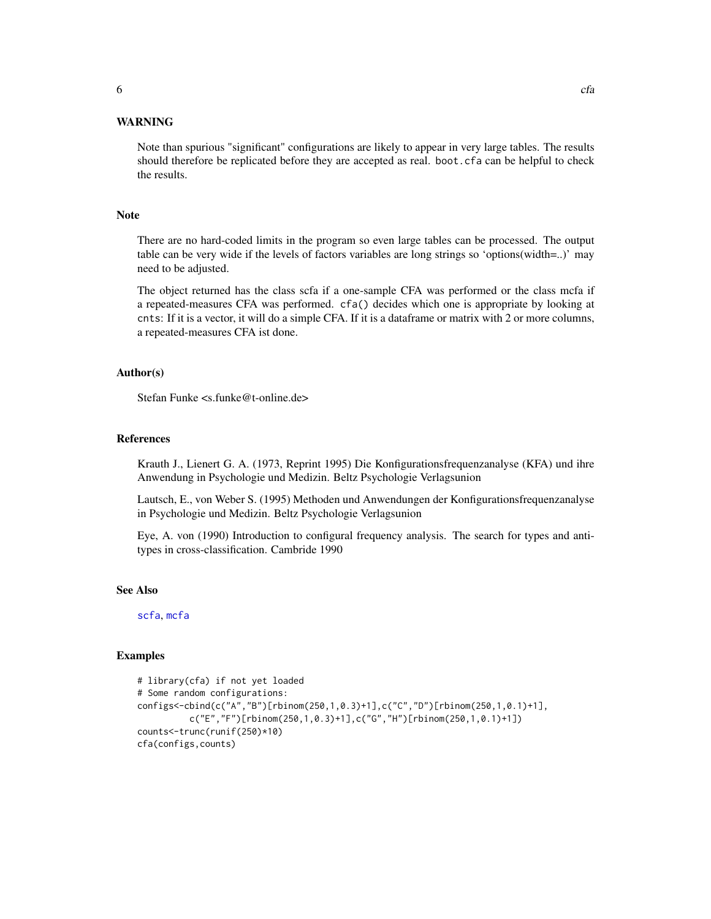<span id="page-5-0"></span>Note than spurious "significant" configurations are likely to appear in very large tables. The results should therefore be replicated before they are accepted as real. boot.cfa can be helpful to check the results.

#### Note

There are no hard-coded limits in the program so even large tables can be processed. The output table can be very wide if the levels of factors variables are long strings so 'options(width=..)' may need to be adjusted.

The object returned has the class scfa if a one-sample CFA was performed or the class mcfa if a repeated-measures CFA was performed. cfa() decides which one is appropriate by looking at cnts: If it is a vector, it will do a simple CFA. If it is a dataframe or matrix with 2 or more columns, a repeated-measures CFA ist done.

#### Author(s)

Stefan Funke <s.funke@t-online.de>

#### References

Krauth J., Lienert G. A. (1973, Reprint 1995) Die Konfigurationsfrequenzanalyse (KFA) und ihre Anwendung in Psychologie und Medizin. Beltz Psychologie Verlagsunion

Lautsch, E., von Weber S. (1995) Methoden und Anwendungen der Konfigurationsfrequenzanalyse in Psychologie und Medizin. Beltz Psychologie Verlagsunion

Eye, A. von (1990) Introduction to configural frequency analysis. The search for types and antitypes in cross-classification. Cambride 1990

#### See Also

[scfa](#page-22-1), [mcfa](#page-9-1)

#### Examples

```
# library(cfa) if not yet loaded
# Some random configurations:
configs<-cbind(c("A","B")[rbinom(250,1,0.3)+1],c("C","D")[rbinom(250,1,0.1)+1],
          c("E","F")[rbinom(250,1,0.3)+1],c("G","H")[rbinom(250,1,0.1)+1])
counts<-trunc(runif(250)*10)
cfa(configs,counts)
```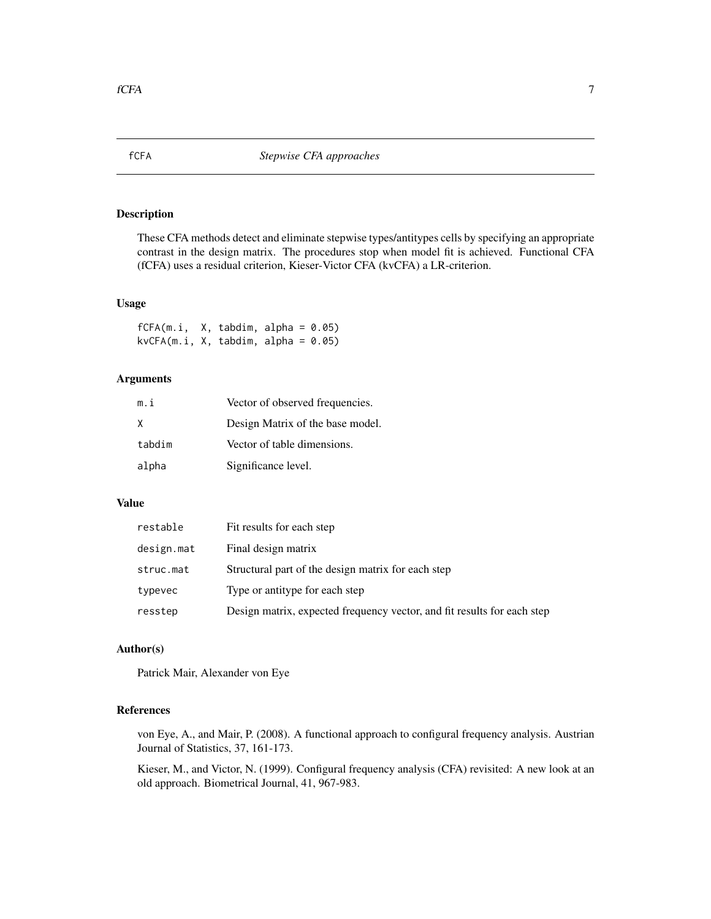# <span id="page-6-0"></span>Description

These CFA methods detect and eliminate stepwise types/antitypes cells by specifying an appropriate contrast in the design matrix. The procedures stop when model fit is achieved. Functional CFA (fCFA) uses a residual criterion, Kieser-Victor CFA (kvCFA) a LR-criterion.

#### Usage

 $fCFA(m.i, X, tabdim, alpha = 0.05)$  $kvCFA(m.i, X, tabdim, alpha = 0.05)$ 

# Arguments

| m.i    | Vector of observed frequencies.  |
|--------|----------------------------------|
| x      | Design Matrix of the base model. |
| tabdim | Vector of table dimensions.      |
| alpha  | Significance level.              |

# Value

| restable   | Fit results for each step                                               |
|------------|-------------------------------------------------------------------------|
| design.mat | Final design matrix                                                     |
| struc.mat  | Structural part of the design matrix for each step                      |
| typevec    | Type or antitype for each step                                          |
| resstep    | Design matrix, expected frequency vector, and fit results for each step |

#### Author(s)

Patrick Mair, Alexander von Eye

# References

von Eye, A., and Mair, P. (2008). A functional approach to configural frequency analysis. Austrian Journal of Statistics, 37, 161-173.

Kieser, M., and Victor, N. (1999). Configural frequency analysis (CFA) revisited: A new look at an old approach. Biometrical Journal, 41, 967-983.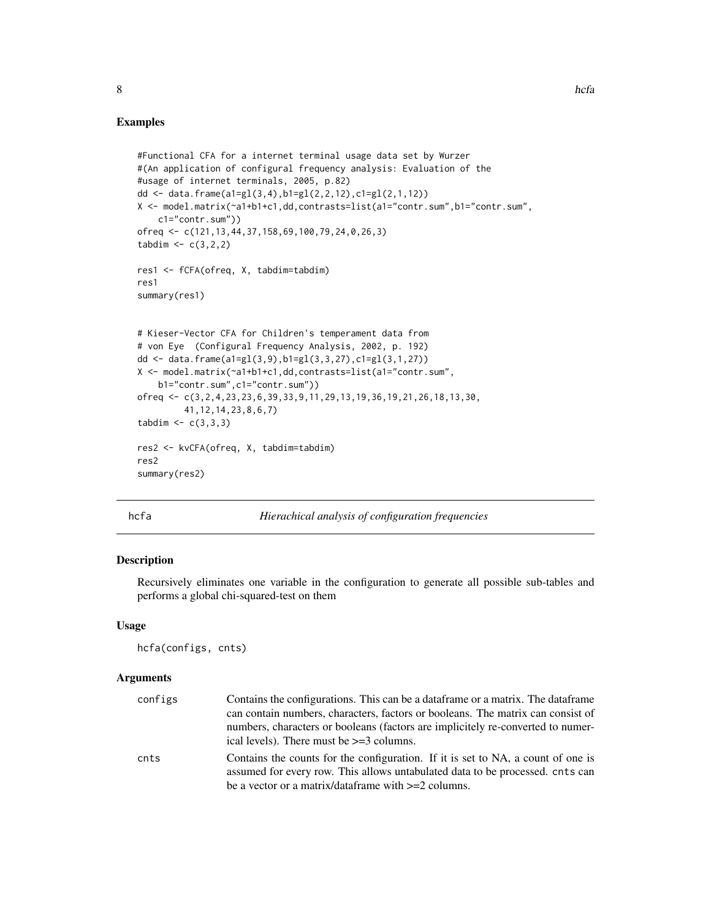#### Examples

```
#Functional CFA for a internet terminal usage data set by Wurzer
#(An application of configural frequency analysis: Evaluation of the
#usage of internet terminals, 2005, p.82)
dd <- data.frame(a1=gl(3,4),b1=gl(2,2,12),c1=gl(2,1,12))
X <- model.matrix(~a1+b1+c1,dd,contrasts=list(a1="contr.sum",b1="contr.sum",
    c1="contr.sum"))
ofreq <- c(121,13,44,37,158,69,100,79,24,0,26,3)
tabdim < -c(3,2,2)res1 <- fCFA(ofreq, X, tabdim=tabdim)
res1
summary(res1)
# Kieser-Vector CFA for Children's temperament data from
# von Eye (Configural Frequency Analysis, 2002, p. 192)
dd <- data.frame(a1=gl(3,9),b1=gl(3,3,27),c1=gl(3,1,27))
X <- model.matrix(~a1+b1+c1,dd,contrasts=list(a1="contr.sum",
    b1="contr.sum",c1="contr.sum"))
ofreq <- c(3,2,4,23,23,6,39,33,9,11,29,13,19,36,19,21,26,18,13,30,
         41,12,14,23,8,6,7)
tabdim < - c(3,3,3)res2 <- kvCFA(ofreq, X, tabdim=tabdim)
res2
summary(res2)
```
hcfa *Hierachical analysis of configuration frequencies*

#### Description

Recursively eliminates one variable in the configuration to generate all possible sub-tables and performs a global chi-squared-test on them

#### Usage

hcfa(configs, cnts)

#### **Arguments**

| configs | Contains the configurations. This can be a data frame or a matrix. The data frame                                                                                                                                          |
|---------|----------------------------------------------------------------------------------------------------------------------------------------------------------------------------------------------------------------------------|
|         | can contain numbers, characters, factors or booleans. The matrix can consist of                                                                                                                                            |
|         | numbers, characters or booleans (factors are implicitely re-converted to numer-<br>ical levels). There must be $\geq$ =3 columns.                                                                                          |
| cnts    | Contains the counts for the configuration. If it is set to NA, a count of one is<br>assumed for every row. This allows untabulated data to be processed, cnts can<br>be a vector or a matrix/dataframe with $>=2$ columns. |

<span id="page-7-0"></span>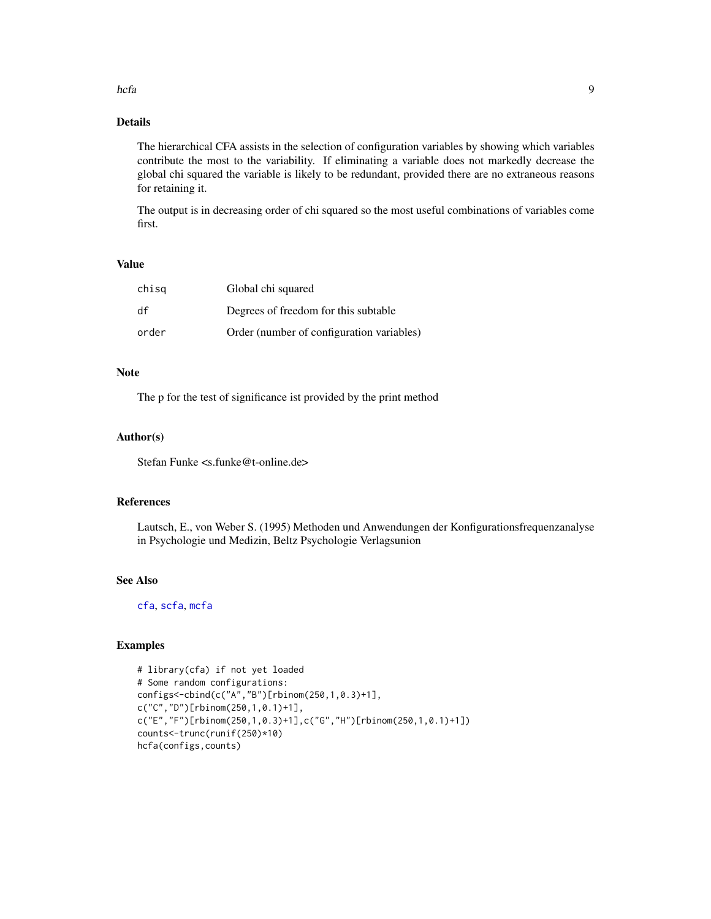#### <span id="page-8-0"></span>hcfa **9**

# Details

The hierarchical CFA assists in the selection of configuration variables by showing which variables contribute the most to the variability. If eliminating a variable does not markedly decrease the global chi squared the variable is likely to be redundant, provided there are no extraneous reasons for retaining it.

The output is in decreasing order of chi squared so the most useful combinations of variables come first.

# Value

| chisg | Global chi squared                        |
|-------|-------------------------------------------|
| df    | Degrees of freedom for this subtable      |
| order | Order (number of configuration variables) |

# Note

The p for the test of significance ist provided by the print method

#### Author(s)

Stefan Funke <s.funke@t-online.de>

#### References

Lautsch, E., von Weber S. (1995) Methoden und Anwendungen der Konfigurationsfrequenzanalyse in Psychologie und Medizin, Beltz Psychologie Verlagsunion

# See Also

[cfa](#page-2-1), [scfa](#page-22-1), [mcfa](#page-9-1)

# Examples

```
# library(cfa) if not yet loaded
# Some random configurations:
configs<-cbind(c("A","B")[rbinom(250,1,0.3)+1],
c("C","D")[rbinom(250,1,0.1)+1],
c("E","F")[rbinom(250,1,0.3)+1],c("G","H")[rbinom(250,1,0.1)+1])
counts<-trunc(runif(250)*10)
hcfa(configs,counts)
```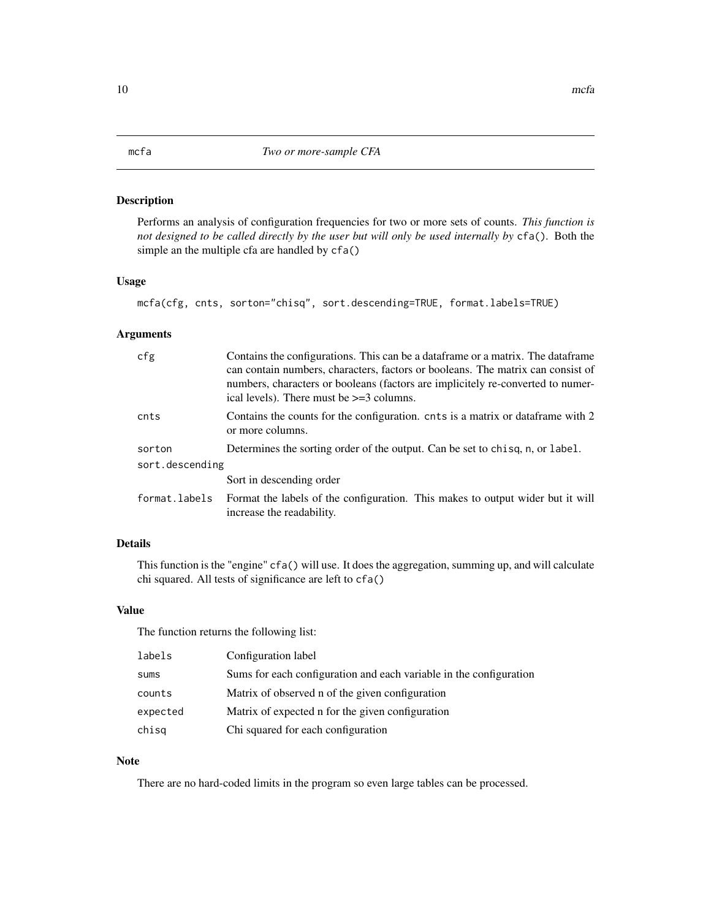# <span id="page-9-1"></span><span id="page-9-0"></span>Description

Performs an analysis of configuration frequencies for two or more sets of counts. *This function is not designed to be called directly by the user but will only be used internally by* cfa()*.* Both the simple an the multiple cfa are handled by  $cfa()$ 

## Usage

mcfa(cfg, cnts, sorton="chisq", sort.descending=TRUE, format.labels=TRUE)

# Arguments

| cfg             | Contains the configurations. This can be a data frame or a matrix. The data frame<br>can contain numbers, characters, factors or booleans. The matrix can consist of<br>numbers, characters or booleans (factors are implicitely re-converted to numer-<br>ical levels). There must be $>=$ 3 columns. |
|-----------------|--------------------------------------------------------------------------------------------------------------------------------------------------------------------------------------------------------------------------------------------------------------------------------------------------------|
| cnts            | Contains the counts for the configuration. cnts is a matrix or data frame with 2<br>or more columns.                                                                                                                                                                                                   |
| sorton          | Determines the sorting order of the output. Can be set to chisq, n, or label.                                                                                                                                                                                                                          |
| sort.descending |                                                                                                                                                                                                                                                                                                        |
|                 | Sort in descending order                                                                                                                                                                                                                                                                               |
| format.labels   | Format the labels of the configuration. This makes to output wider but it will<br>increase the readability.                                                                                                                                                                                            |

# Details

This function is the "engine" cfa() will use. It does the aggregation, summing up, and will calculate chi squared. All tests of significance are left to cfa()

# Value

The function returns the following list:

| labels   | Configuration label                                                |
|----------|--------------------------------------------------------------------|
| sums     | Sums for each configuration and each variable in the configuration |
| counts   | Matrix of observed n of the given configuration                    |
| expected | Matrix of expected n for the given configuration                   |
| chisq    | Chi squared for each configuration                                 |

# Note

There are no hard-coded limits in the program so even large tables can be processed.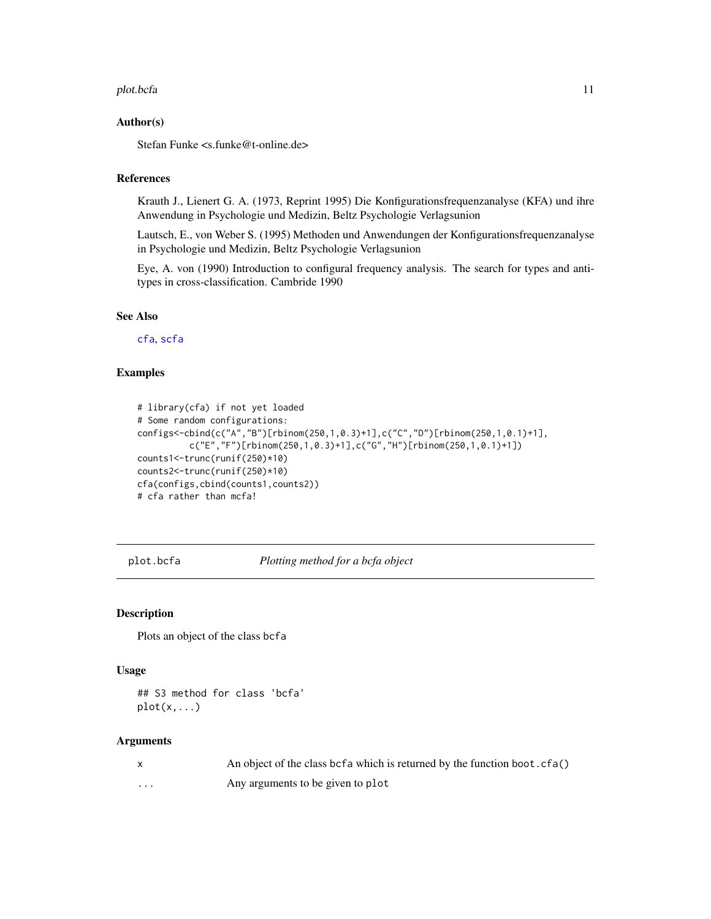#### <span id="page-10-0"></span>plot.bcfa 11

#### Author(s)

Stefan Funke <s.funke@t-online.de>

# References

Krauth J., Lienert G. A. (1973, Reprint 1995) Die Konfigurationsfrequenzanalyse (KFA) und ihre Anwendung in Psychologie und Medizin, Beltz Psychologie Verlagsunion

Lautsch, E., von Weber S. (1995) Methoden und Anwendungen der Konfigurationsfrequenzanalyse in Psychologie und Medizin, Beltz Psychologie Verlagsunion

Eye, A. von (1990) Introduction to configural frequency analysis. The search for types and antitypes in cross-classification. Cambride 1990

### See Also

[cfa](#page-2-1), [scfa](#page-22-1)

#### Examples

```
# library(cfa) if not yet loaded
# Some random configurations:
configs<-cbind(c("A","B")[rbinom(250,1,0.3)+1],c("C","D")[rbinom(250,1,0.1)+1],
          c("E","F")[rbinom(250,1,0.3)+1],c("G","H")[rbinom(250,1,0.1)+1])
counts1<-trunc(runif(250)*10)
counts2<-trunc(runif(250)*10)
cfa(configs,cbind(counts1,counts2))
# cfa rather than mcfa!
```
plot.bcfa *Plotting method for a bcfa object*

# Description

Plots an object of the class bcfa

# Usage

```
## S3 method for class 'bcfa'
plot(x,...)
```
#### Arguments

|          | An object of the class be fa which is returned by the function boot. cfa() |
|----------|----------------------------------------------------------------------------|
| $\cdots$ | Any arguments to be given to plot                                          |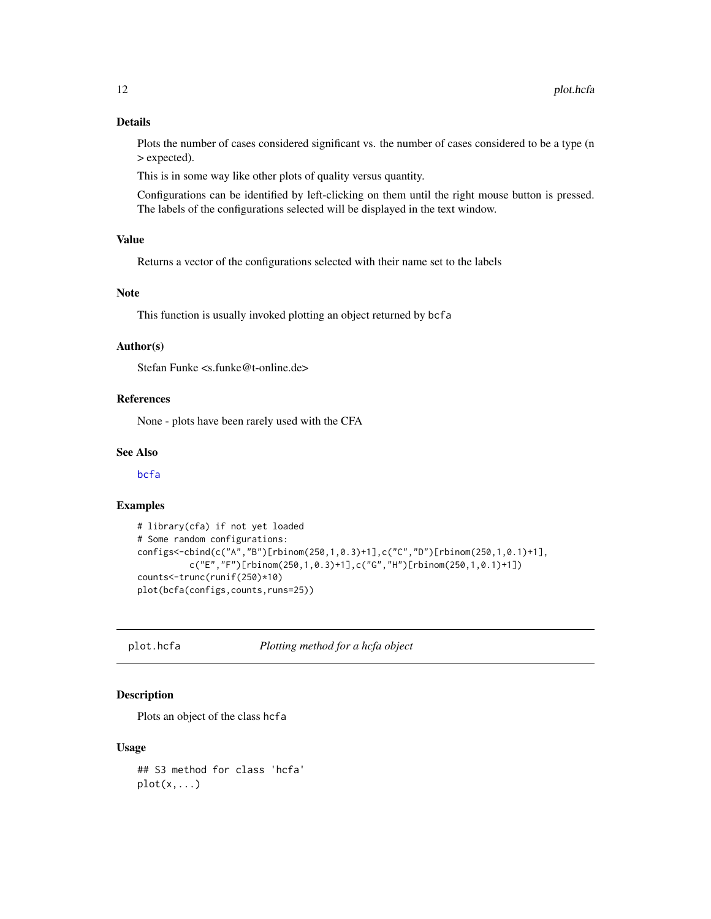# <span id="page-11-0"></span>Details

Plots the number of cases considered significant vs. the number of cases considered to be a type (n > expected).

This is in some way like other plots of quality versus quantity.

Configurations can be identified by left-clicking on them until the right mouse button is pressed. The labels of the configurations selected will be displayed in the text window.

# Value

Returns a vector of the configurations selected with their name set to the labels

# Note

This function is usually invoked plotting an object returned by bcfa

#### Author(s)

Stefan Funke <s.funke@t-online.de>

# References

None - plots have been rarely used with the CFA

#### See Also

[bcfa](#page-1-1)

#### Examples

```
# library(cfa) if not yet loaded
# Some random configurations:
configs<-cbind(c("A","B")[rbinom(250,1,0.3)+1],c("C","D")[rbinom(250,1,0.1)+1],
          c("E","F")[rbinom(250,1,0.3)+1],c("G","H")[rbinom(250,1,0.1)+1])
counts<-trunc(runif(250)*10)
plot(bcfa(configs,counts,runs=25))
```
plot.hcfa *Plotting method for a hcfa object*

# Description

Plots an object of the class hcfa

#### Usage

## S3 method for class 'hcfa'  $plot(x,...)$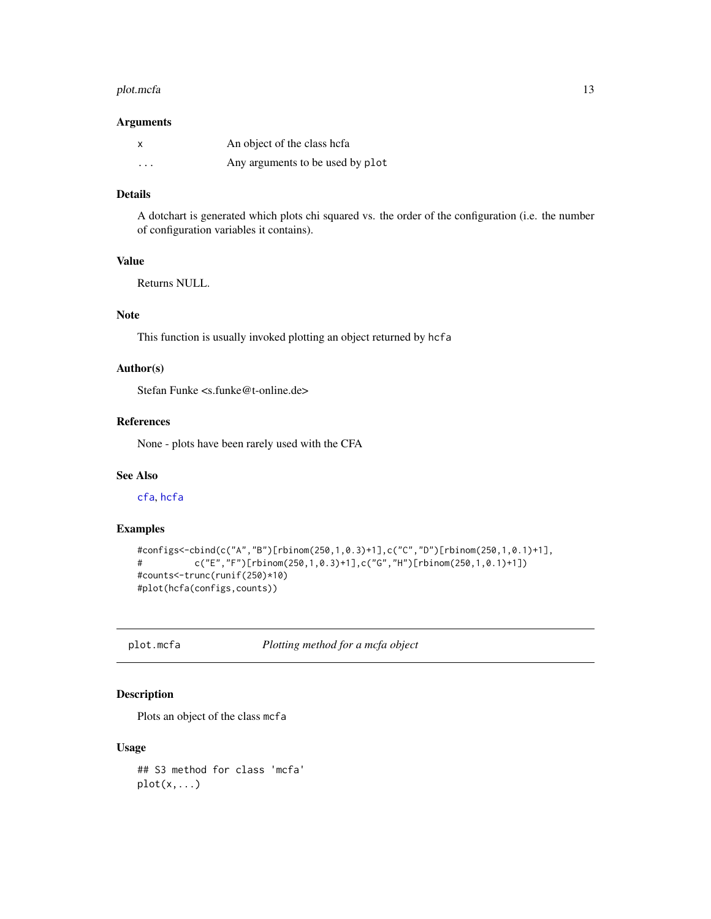#### <span id="page-12-0"></span>plot.mcfa and the state of the state of the state of the state of the state of the state of the state of the state of the state of the state of the state of the state of the state of the state of the state of the state of

#### Arguments

|          | An object of the class hefa      |
|----------|----------------------------------|
| $\cdots$ | Any arguments to be used by plot |

# Details

A dotchart is generated which plots chi squared vs. the order of the configuration (i.e. the number of configuration variables it contains).

# Value

Returns NULL.

# Note

This function is usually invoked plotting an object returned by hcfa

#### Author(s)

Stefan Funke <s.funke@t-online.de>

# References

None - plots have been rarely used with the CFA

# See Also

[cfa](#page-2-1), [hcfa](#page-7-1)

# Examples

```
#configs<-cbind(c("A","B")[rbinom(250,1,0.3)+1],c("C","D")[rbinom(250,1,0.1)+1],
# c("E","F")[rbinom(250,1,0.3)+1],c("G","H")[rbinom(250,1,0.1)+1])
#counts<-trunc(runif(250)*10)
#plot(hcfa(configs,counts))
```
plot.mcfa *Plotting method for a mcfa object*

#### Description

Plots an object of the class mcfa

# Usage

## S3 method for class 'mcfa'  $plot(x,...)$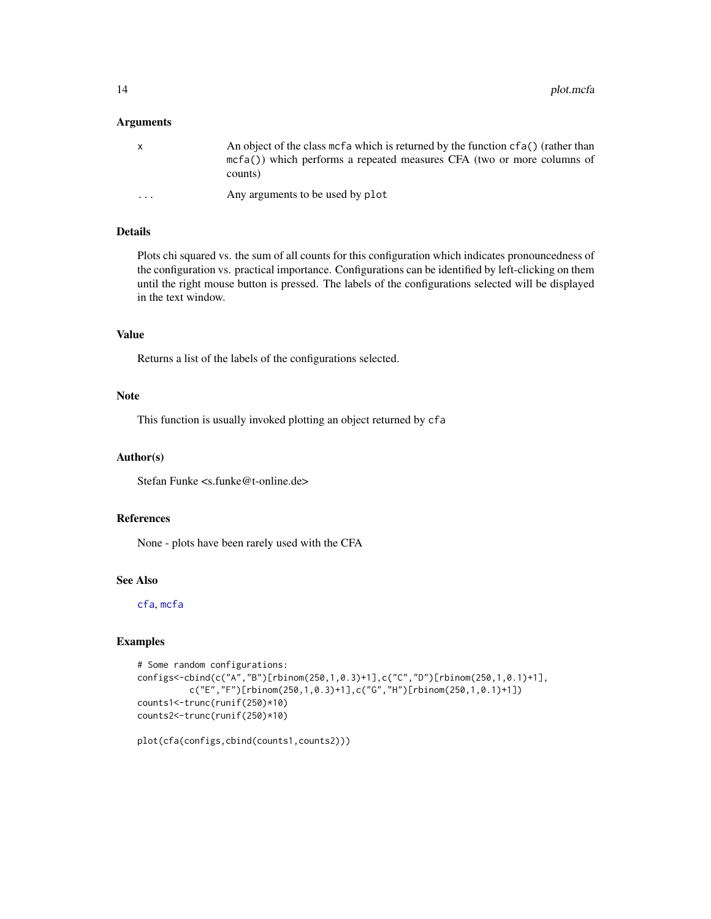#### <span id="page-13-0"></span>**Arguments**

| x                       | An object of the class mefa which is returned by the function $cf(a()$ (rather than<br>$mcf(a)$ ) which performs a repeated measures CFA (two or more columns of<br>counts) |
|-------------------------|-----------------------------------------------------------------------------------------------------------------------------------------------------------------------------|
| $\cdot$ $\cdot$ $\cdot$ | Any arguments to be used by plot                                                                                                                                            |

# Details

Plots chi squared vs. the sum of all counts for this configuration which indicates pronouncedness of the configuration vs. practical importance. Configurations can be identified by left-clicking on them until the right mouse button is pressed. The labels of the configurations selected will be displayed in the text window.

# Value

Returns a list of the labels of the configurations selected.

# Note

This function is usually invoked plotting an object returned by cfa

#### Author(s)

Stefan Funke <s.funke@t-online.de>

#### References

None - plots have been rarely used with the CFA

#### See Also

[cfa](#page-2-1), [mcfa](#page-9-1)

#### Examples

```
# Some random configurations:
configs<-cbind(c("A","B")[rbinom(250,1,0.3)+1],c("C","D")[rbinom(250,1,0.1)+1],
         c("E","F")[rbinom(250,1,0.3)+1],c("G","H")[rbinom(250,1,0.1)+1])
counts1<-trunc(runif(250)*10)
counts2<-trunc(runif(250)*10)
```
plot(cfa(configs,cbind(counts1,counts2)))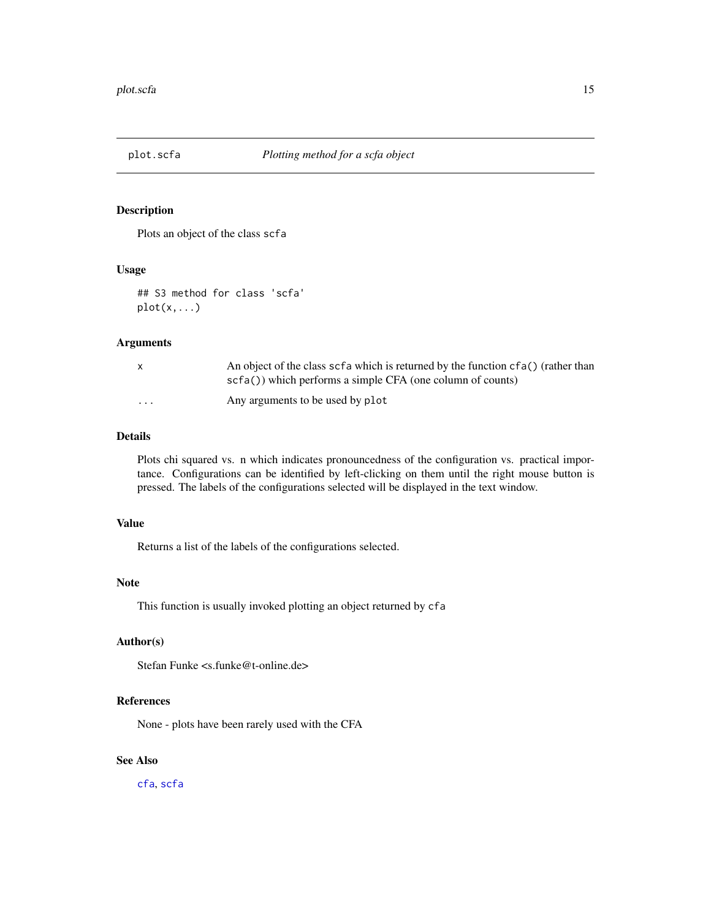<span id="page-14-0"></span>

# Description

Plots an object of the class scfa

#### Usage

## S3 method for class 'scfa'  $plot(x,...)$ 

#### Arguments

|                      | An object of the class scf a which is returned by the function $cf(a()$ (rather than<br>$scf(a()$ ) which performs a simple CFA (one column of counts) |
|----------------------|--------------------------------------------------------------------------------------------------------------------------------------------------------|
| $\ddot{\phantom{0}}$ | Any arguments to be used by plot                                                                                                                       |

# Details

Plots chi squared vs. n which indicates pronouncedness of the configuration vs. practical importance. Configurations can be identified by left-clicking on them until the right mouse button is pressed. The labels of the configurations selected will be displayed in the text window.

### Value

Returns a list of the labels of the configurations selected.

## Note

This function is usually invoked plotting an object returned by cfa

# Author(s)

Stefan Funke <s.funke@t-online.de>

#### References

None - plots have been rarely used with the CFA

# See Also

[cfa](#page-2-1), [scfa](#page-22-1)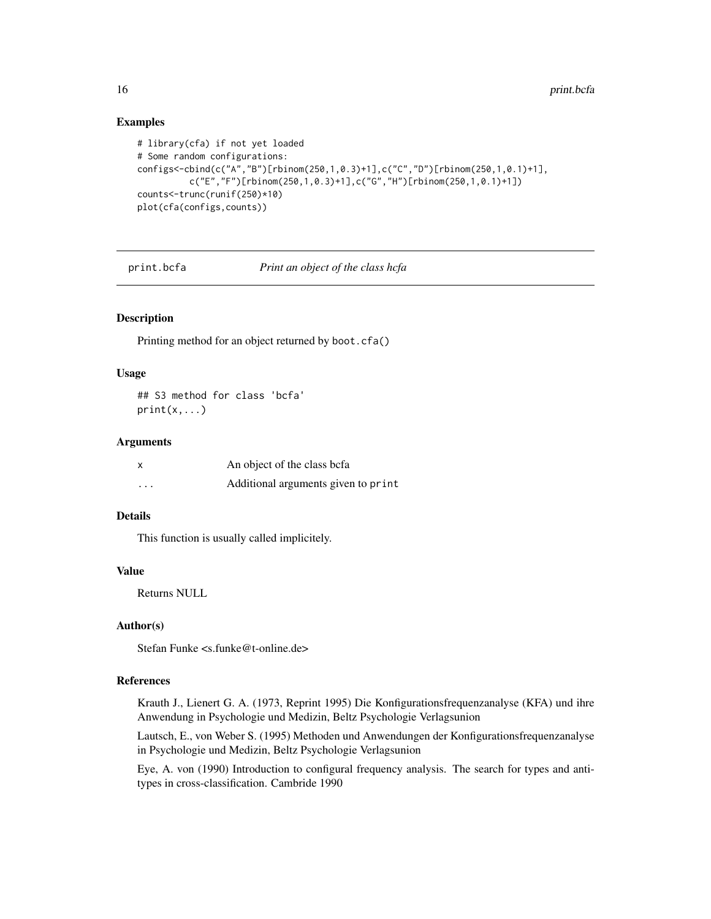# <span id="page-15-0"></span>Examples

```
# library(cfa) if not yet loaded
# Some random configurations:
configs<-cbind(c("A","B")[rbinom(250,1,0.3)+1],c("C","D")[rbinom(250,1,0.1)+1],
          c("E","F")[rbinom(250,1,0.3)+1],c("G","H")[rbinom(250,1,0.1)+1])
counts<-trunc(runif(250)*10)
plot(cfa(configs,counts))
```
print.bcfa *Print an object of the class hcfa*

# Description

Printing method for an object returned by boot.cfa()

#### Usage

## S3 method for class 'bcfa'  $print(x, \ldots)$ 

# Arguments

| X        | An object of the class befa         |
|----------|-------------------------------------|
| $\cdots$ | Additional arguments given to print |

# Details

This function is usually called implicitely.

# Value

Returns NULL

# Author(s)

Stefan Funke <s.funke@t-online.de>

#### References

Krauth J., Lienert G. A. (1973, Reprint 1995) Die Konfigurationsfrequenzanalyse (KFA) und ihre Anwendung in Psychologie und Medizin, Beltz Psychologie Verlagsunion

Lautsch, E., von Weber S. (1995) Methoden und Anwendungen der Konfigurationsfrequenzanalyse in Psychologie und Medizin, Beltz Psychologie Verlagsunion

Eye, A. von (1990) Introduction to configural frequency analysis. The search for types and antitypes in cross-classification. Cambride 1990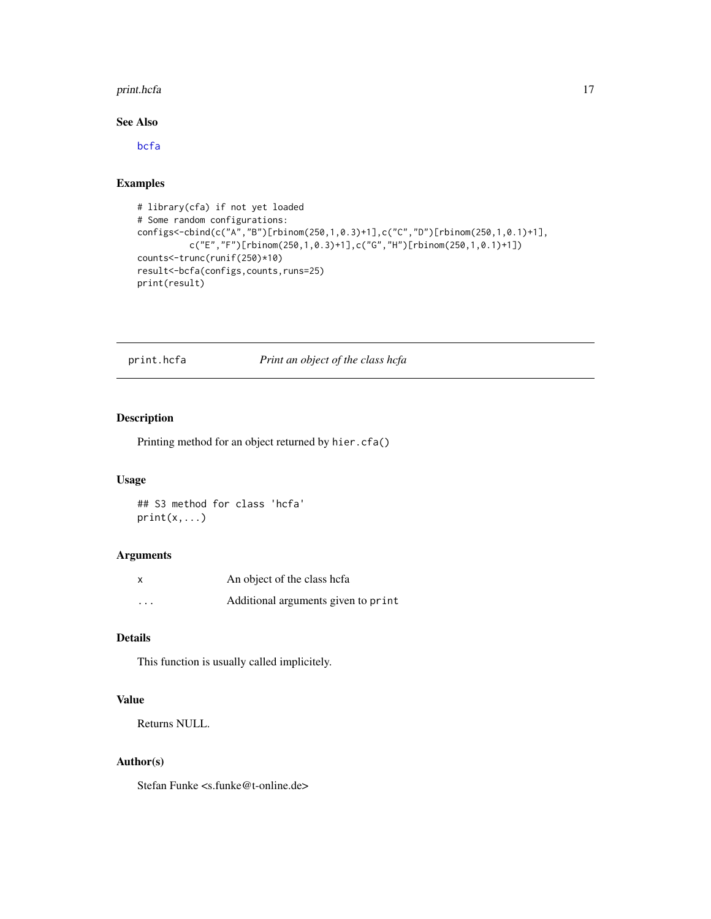#### <span id="page-16-0"></span>print.hcfa 17

# See Also

[bcfa](#page-1-1)

#### Examples

```
# library(cfa) if not yet loaded
# Some random configurations:
configs<-cbind(c("A","B")[rbinom(250,1,0.3)+1],c("C","D")[rbinom(250,1,0.1)+1],
         c("E","F")[rbinom(250,1,0.3)+1],c("G","H")[rbinom(250,1,0.1)+1])
counts<-trunc(runif(250)*10)
result<-bcfa(configs,counts,runs=25)
print(result)
```
print.hcfa *Print an object of the class hcfa*

# Description

Printing method for an object returned by hier.cfa()

#### Usage

## S3 method for class 'hcfa'  $print(x, \ldots)$ 

# Arguments

| x       | An object of the class hefa         |
|---------|-------------------------------------|
| $\cdot$ | Additional arguments given to print |

# Details

This function is usually called implicitely.

# Value

Returns NULL.

# Author(s)

Stefan Funke <s.funke@t-online.de>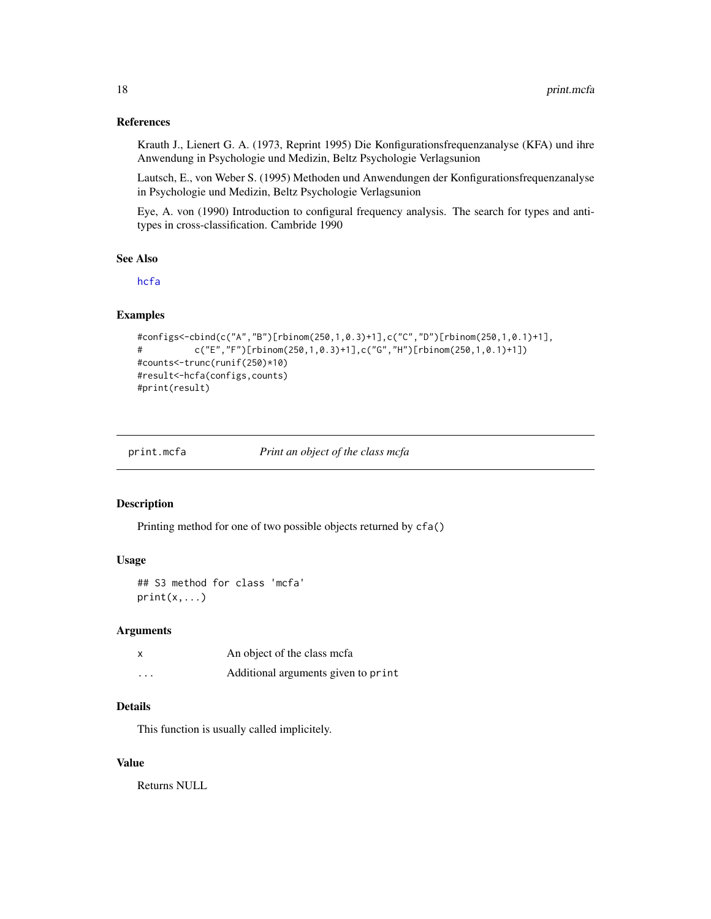#### <span id="page-17-0"></span>References

Krauth J., Lienert G. A. (1973, Reprint 1995) Die Konfigurationsfrequenzanalyse (KFA) und ihre Anwendung in Psychologie und Medizin, Beltz Psychologie Verlagsunion

Lautsch, E., von Weber S. (1995) Methoden und Anwendungen der Konfigurationsfrequenzanalyse in Psychologie und Medizin, Beltz Psychologie Verlagsunion

Eye, A. von (1990) Introduction to configural frequency analysis. The search for types and antitypes in cross-classification. Cambride 1990

#### See Also

[hcfa](#page-7-1)

#### Examples

```
#configs<-cbind(c("A","B")[rbinom(250,1,0.3)+1],c("C","D")[rbinom(250,1,0.1)+1],
# c("E","F")[rbinom(250,1,0.3)+1],c("G","H")[rbinom(250,1,0.1)+1])
#counts<-trunc(runif(250)*10)
#result<-hcfa(configs,counts)
#print(result)
```
print.mcfa *Print an object of the class mcfa*

# Description

Printing method for one of two possible objects returned by cfa()

#### Usage

## S3 method for class 'mcfa'  $print(x, \ldots)$ 

#### Arguments

|          | An object of the class mcfa         |
|----------|-------------------------------------|
| $\cdots$ | Additional arguments given to print |

#### Details

This function is usually called implicitely.

#### Value

Returns NULL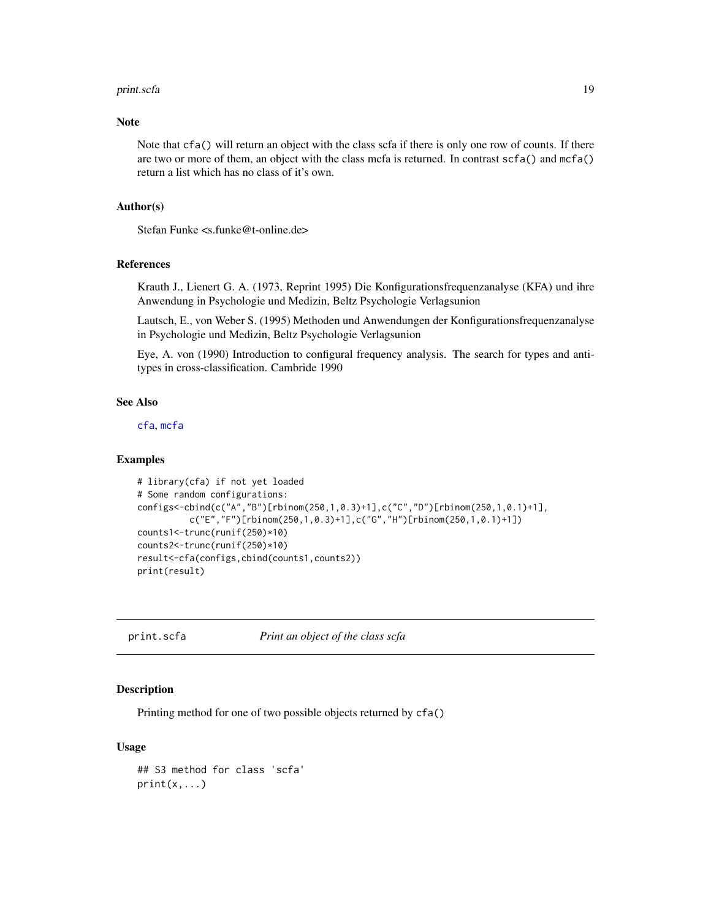#### <span id="page-18-0"></span>print.scfa 19

#### Note

Note that cfa() will return an object with the class scfa if there is only one row of counts. If there are two or more of them, an object with the class mcfa is returned. In contrast scfa() and mcfa() return a list which has no class of it's own.

#### Author(s)

Stefan Funke <s.funke@t-online.de>

# References

Krauth J., Lienert G. A. (1973, Reprint 1995) Die Konfigurationsfrequenzanalyse (KFA) und ihre Anwendung in Psychologie und Medizin, Beltz Psychologie Verlagsunion

Lautsch, E., von Weber S. (1995) Methoden und Anwendungen der Konfigurationsfrequenzanalyse in Psychologie und Medizin, Beltz Psychologie Verlagsunion

Eye, A. von (1990) Introduction to configural frequency analysis. The search for types and antitypes in cross-classification. Cambride 1990

# See Also

[cfa](#page-2-1), [mcfa](#page-9-1)

#### Examples

```
# library(cfa) if not yet loaded
# Some random configurations:
configs<-cbind(c("A","B")[rbinom(250,1,0.3)+1],c("C","D")[rbinom(250,1,0.1)+1],
          c("E","F")[rbinom(250,1,0.3)+1],c("G","H")[rbinom(250,1,0.1)+1])
counts1<-trunc(runif(250)*10)
counts2<-trunc(runif(250)*10)
result<-cfa(configs,cbind(counts1,counts2))
print(result)
```
print.scfa *Print an object of the class scfa*

# **Description**

Printing method for one of two possible objects returned by cfa()

#### Usage

```
## S3 method for class 'scfa'
print(x, \ldots)
```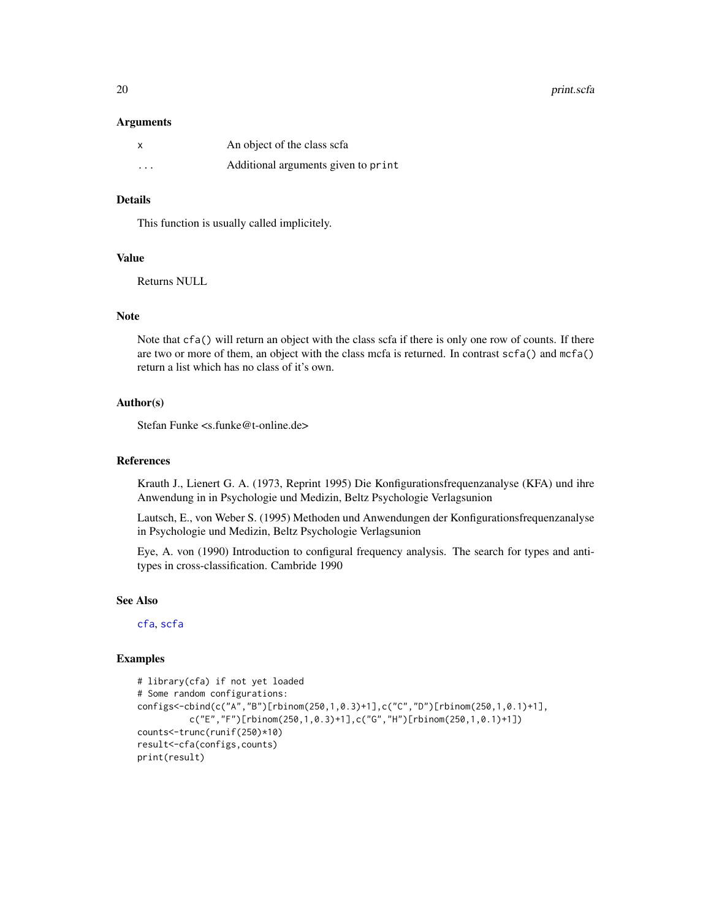<span id="page-19-0"></span>20 print.scfa

#### Arguments

| X                       | An object of the class scfa         |
|-------------------------|-------------------------------------|
| $\cdot$ $\cdot$ $\cdot$ | Additional arguments given to print |

# Details

This function is usually called implicitely.

### Value

Returns NULL

#### Note

Note that cfa() will return an object with the class scfa if there is only one row of counts. If there are two or more of them, an object with the class mcfa is returned. In contrast scfa() and mcfa() return a list which has no class of it's own.

# Author(s)

Stefan Funke <s.funke@t-online.de>

# References

Krauth J., Lienert G. A. (1973, Reprint 1995) Die Konfigurationsfrequenzanalyse (KFA) und ihre Anwendung in in Psychologie und Medizin, Beltz Psychologie Verlagsunion

Lautsch, E., von Weber S. (1995) Methoden und Anwendungen der Konfigurationsfrequenzanalyse in Psychologie und Medizin, Beltz Psychologie Verlagsunion

Eye, A. von (1990) Introduction to configural frequency analysis. The search for types and antitypes in cross-classification. Cambride 1990

#### See Also

[cfa](#page-2-1), [scfa](#page-22-1)

#### Examples

```
# library(cfa) if not yet loaded
# Some random configurations:
configs<-cbind(c("A","B")[rbinom(250,1,0.3)+1],c("C","D")[rbinom(250,1,0.1)+1],
         c("E","F")[rbinom(250,1,0.3)+1],c("G","H")[rbinom(250,1,0.1)+1])
counts<-trunc(runif(250)*10)
result<-cfa(configs,counts)
print(result)
```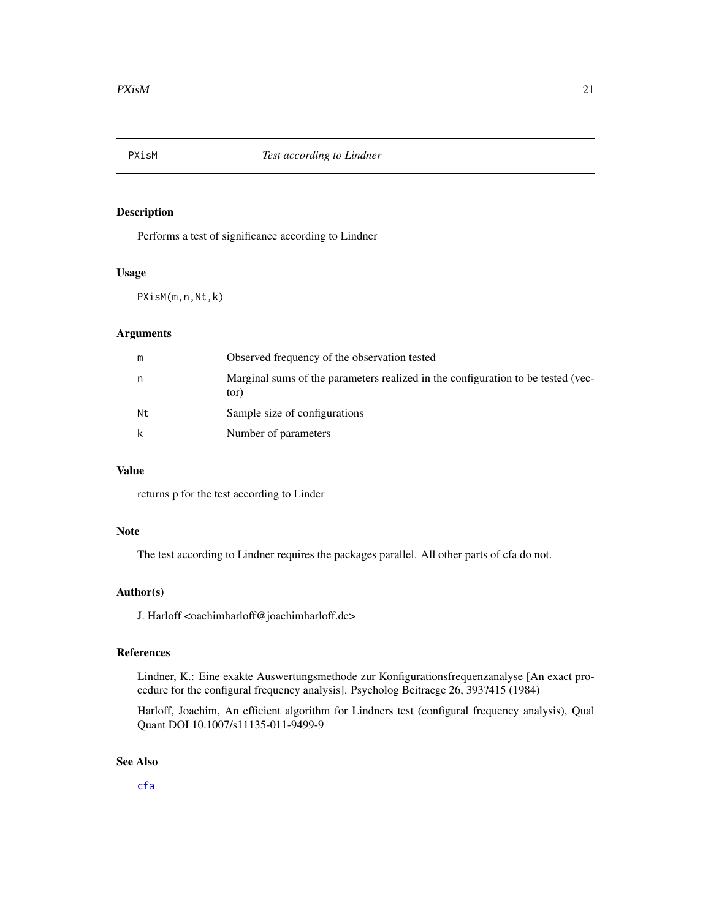<span id="page-20-0"></span>

# Description

Performs a test of significance according to Lindner

#### Usage

PXisM(m,n,Nt,k)

# Arguments

| m  | Observed frequency of the observation tested                                             |
|----|------------------------------------------------------------------------------------------|
| n  | Marginal sums of the parameters realized in the configuration to be tested (vec-<br>tor) |
| Nt | Sample size of configurations                                                            |
| k  | Number of parameters                                                                     |

# Value

returns p for the test according to Linder

# Note

The test according to Lindner requires the packages parallel. All other parts of cfa do not.

#### Author(s)

J. Harloff <oachimharloff@joachimharloff.de>

#### References

Lindner, K.: Eine exakte Auswertungsmethode zur Konfigurationsfrequenzanalyse [An exact procedure for the configural frequency analysis]. Psycholog Beitraege 26, 393?415 (1984)

Harloff, Joachim, An efficient algorithm for Lindners test (configural frequency analysis), Qual Quant DOI 10.1007/s11135-011-9499-9

# See Also

[cfa](#page-2-1)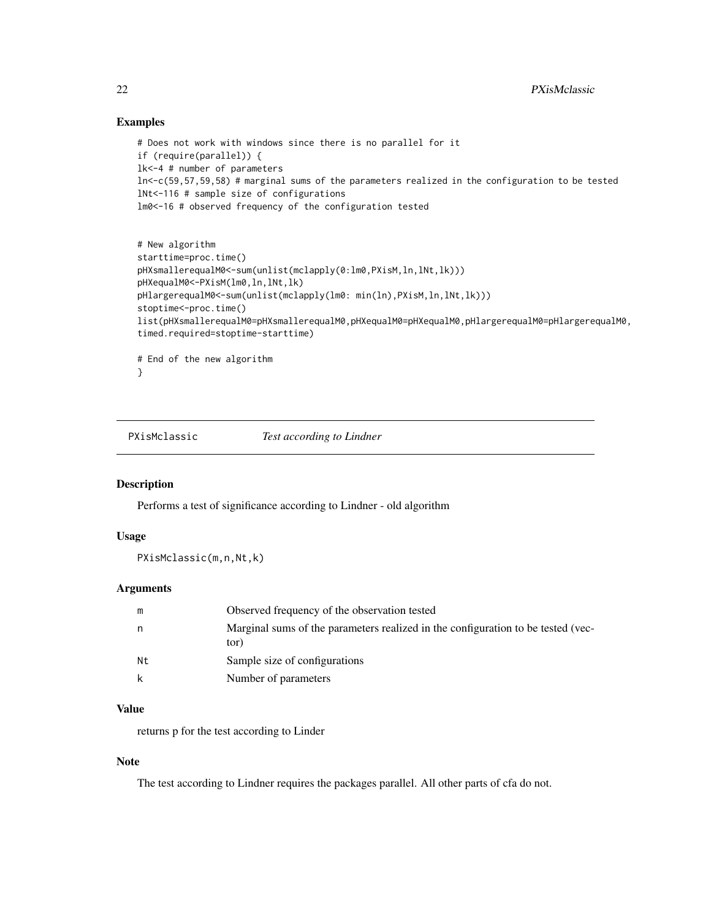#### Examples

```
# Does not work with windows since there is no parallel for it
if (require(parallel)) {
lk<-4 # number of parameters
ln<-c(59,57,59,58) # marginal sums of the parameters realized in the configuration to be tested
lNt<-116 # sample size of configurations
lm0<-16 # observed frequency of the configuration tested
```

```
# New algorithm
starttime=proc.time()
pHXsmallerequalM0<-sum(unlist(mclapply(0:lm0,PXisM,ln,lNt,lk)))
pHXequalM0<-PXisM(lm0,ln,lNt,lk)
pHlargerequalM0<-sum(unlist(mclapply(lm0: min(ln),PXisM,ln,lNt,lk)))
stoptime<-proc.time()
list(pHXsmallerequalM0=pHXsmallerequalM0,pHXequalM0=pHXequalM0,pHlargerequalM0=pHlargerequalM0,
timed.required=stoptime-starttime)
# End of the new algorithm
```

```
}
```
PXisMclassic *Test according to Lindner*

#### Description

Performs a test of significance according to Lindner - old algorithm

#### Usage

PXisMclassic(m,n,Nt,k)

#### Arguments

| m  | Observed frequency of the observation tested                                             |
|----|------------------------------------------------------------------------------------------|
|    | Marginal sums of the parameters realized in the configuration to be tested (vec-<br>tor) |
| Nt | Sample size of configurations                                                            |
|    | Number of parameters                                                                     |

# Value

returns p for the test according to Linder

#### Note

The test according to Lindner requires the packages parallel. All other parts of cfa do not.

<span id="page-21-0"></span>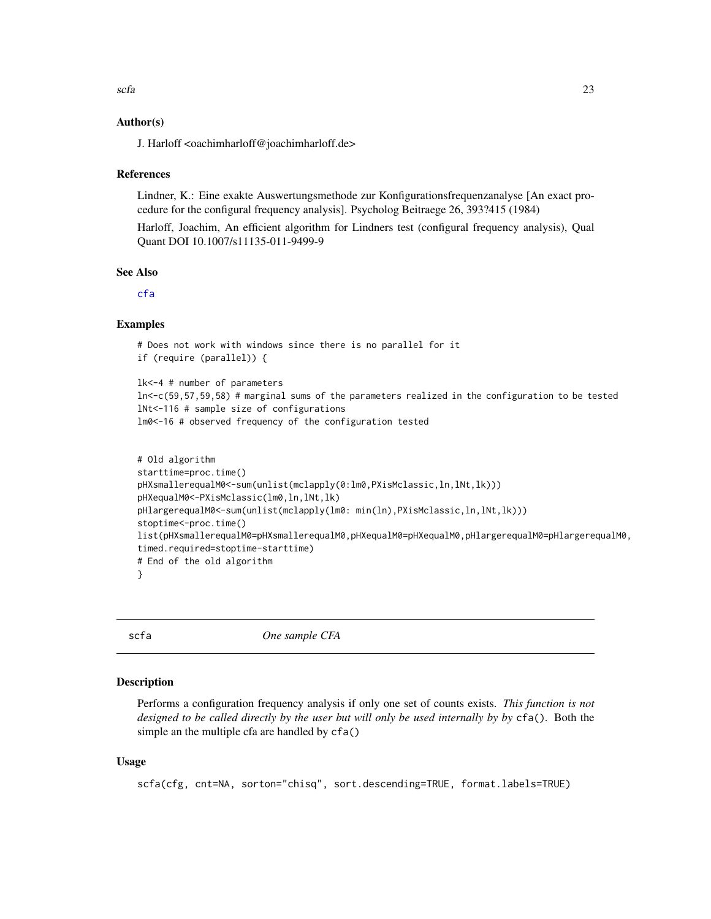#### <span id="page-22-0"></span>Author(s)

J. Harloff <oachimharloff@joachimharloff.de>

#### References

Lindner, K.: Eine exakte Auswertungsmethode zur Konfigurationsfrequenzanalyse [An exact procedure for the configural frequency analysis]. Psycholog Beitraege 26, 393?415 (1984)

Harloff, Joachim, An efficient algorithm for Lindners test (configural frequency analysis), Qual Quant DOI 10.1007/s11135-011-9499-9

#### See Also

[cfa](#page-2-1)

#### Examples

```
# Does not work with windows since there is no parallel for it
if (require (parallel)) {
```

```
lk<-4 # number of parameters
ln<-c(59,57,59,58) # marginal sums of the parameters realized in the configuration to be tested
lNt<-116 # sample size of configurations
lm0<-16 # observed frequency of the configuration tested
```

```
# Old algorithm
starttime=proc.time()
pHXsmallerequalM0<-sum(unlist(mclapply(0:lm0,PXisMclassic,ln,lNt,lk)))
pHXequalM0<-PXisMclassic(lm0,ln,lNt,lk)
pHlargerequalM0<-sum(unlist(mclapply(lm0: min(ln),PXisMclassic,ln,lNt,lk)))
stoptime<-proc.time()
list(pHXsmallerequalM0=pHXsmallerequalM0,pHXequalM0=pHXequalM0,pHlargerequalM0=pHlargerequalM0,
timed.required=stoptime-starttime)
# End of the old algorithm
}
```
<span id="page-22-1"></span>

scfa *One sample CFA*

#### Description

Performs a configuration frequency analysis if only one set of counts exists. *This function is not designed to be called directly by the user but will only be used internally by by* cfa()*.* Both the simple an the multiple cfa are handled by cfa()

#### Usage

```
scfa(cfg, cnt=NA, sorton="chisq", sort.descending=TRUE, format.labels=TRUE)
```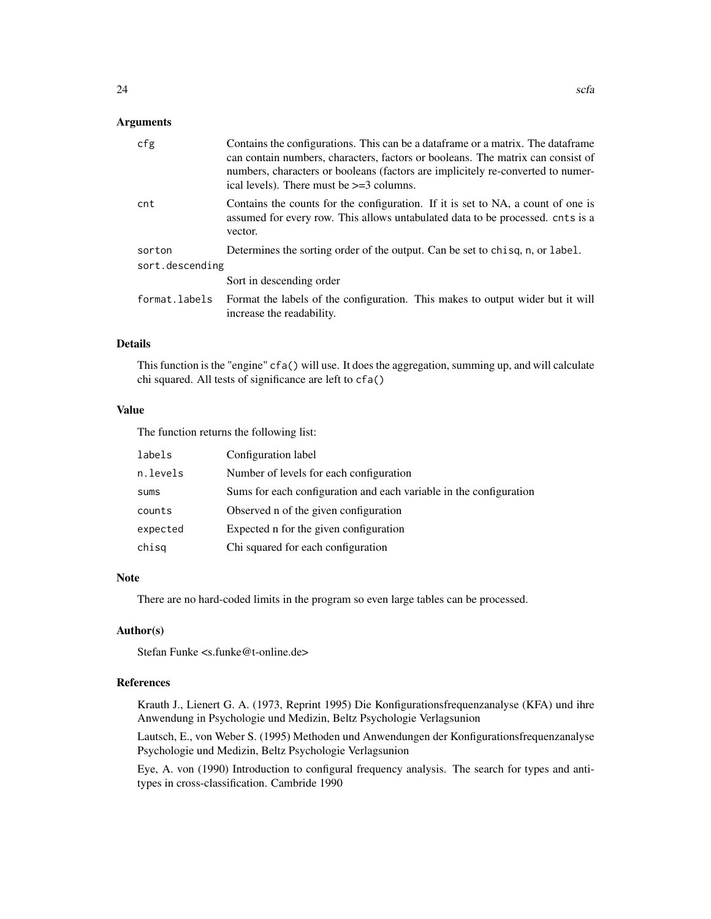# Arguments

| cfg             | Contains the configurations. This can be a data frame or a matrix. The data frame<br>can contain numbers, characters, factors or booleans. The matrix can consist of<br>numbers, characters or booleans (factors are implicitely re-converted to numer-<br>ical levels). There must be $\geq$ =3 columns. |  |
|-----------------|-----------------------------------------------------------------------------------------------------------------------------------------------------------------------------------------------------------------------------------------------------------------------------------------------------------|--|
| cnt             | Contains the counts for the configuration. If it is set to NA, a count of one is<br>assumed for every row. This allows untabulated data to be processed, cnts is a<br>vector.                                                                                                                             |  |
| sorton          | Determines the sorting order of the output. Can be set to chisq, n, or label.                                                                                                                                                                                                                             |  |
| sort.descending |                                                                                                                                                                                                                                                                                                           |  |
|                 | Sort in descending order                                                                                                                                                                                                                                                                                  |  |
| format.labels   | Format the labels of the configuration. This makes to output wider but it will<br>increase the readability.                                                                                                                                                                                               |  |

#### Details

This function is the "engine" cfa() will use. It does the aggregation, summing up, and will calculate chi squared. All tests of significance are left to cfa()

#### Value

The function returns the following list:

| labels      | Configuration label                                                |
|-------------|--------------------------------------------------------------------|
| n.levels    | Number of levels for each configuration                            |
| <b>SUMS</b> | Sums for each configuration and each variable in the configuration |
| counts      | Observed n of the given configuration                              |
| expected    | Expected n for the given configuration                             |
| chisq       | Chi squared for each configuration                                 |

#### Note

There are no hard-coded limits in the program so even large tables can be processed.

# Author(s)

Stefan Funke <s.funke@t-online.de>

# References

Krauth J., Lienert G. A. (1973, Reprint 1995) Die Konfigurationsfrequenzanalyse (KFA) und ihre Anwendung in Psychologie und Medizin, Beltz Psychologie Verlagsunion

Lautsch, E., von Weber S. (1995) Methoden und Anwendungen der Konfigurationsfrequenzanalyse Psychologie und Medizin, Beltz Psychologie Verlagsunion

Eye, A. von (1990) Introduction to configural frequency analysis. The search for types and antitypes in cross-classification. Cambride 1990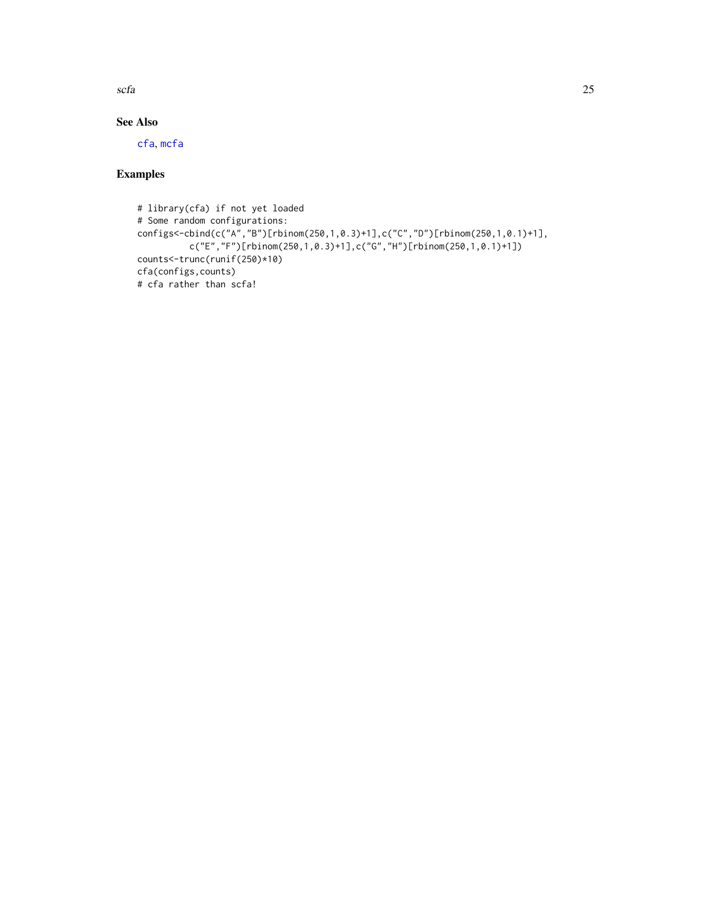<span id="page-24-0"></span>scfa 25

# See Also

[cfa](#page-2-1), [mcfa](#page-9-1)

# Examples

```
# library(cfa) if not yet loaded
# Some random configurations:
configs<-cbind(c("A","B")[rbinom(250,1,0.3)+1],c("C","D")[rbinom(250,1,0.1)+1],
         c("E","F")[rbinom(250,1,0.3)+1],c("G","H")[rbinom(250,1,0.1)+1])
counts<-trunc(runif(250)*10)
cfa(configs,counts)
# cfa rather than scfa!
```